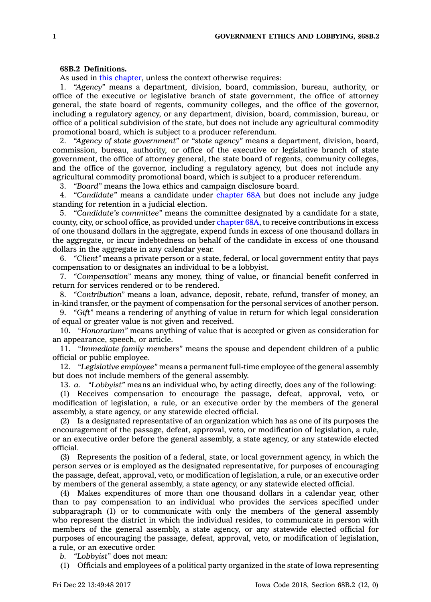## **68B.2 Definitions.**

As used in this [chapter](https://www.legis.iowa.gov/docs/code//68B.pdf), unless the context otherwise requires:

1. *"Agency"* means <sup>a</sup> department, division, board, commission, bureau, authority, or office of the executive or legislative branch of state government, the office of attorney general, the state board of regents, community colleges, and the office of the governor, including <sup>a</sup> regulatory agency, or any department, division, board, commission, bureau, or office of <sup>a</sup> political subdivision of the state, but does not include any agricultural commodity promotional board, which is subject to <sup>a</sup> producer referendum.

2. *"Agency of state government"* or *"state agency"* means <sup>a</sup> department, division, board, commission, bureau, authority, or office of the executive or legislative branch of state government, the office of attorney general, the state board of regents, community colleges, and the office of the governor, including <sup>a</sup> regulatory agency, but does not include any agricultural commodity promotional board, which is subject to <sup>a</sup> producer referendum.

3. *"Board"* means the Iowa ethics and campaign disclosure board.

4. *"Candidate"* means <sup>a</sup> candidate under [chapter](https://www.legis.iowa.gov/docs/code//68A.pdf) 68A but does not include any judge standing for retention in <sup>a</sup> judicial election.

5. *"Candidate's committee"* means the committee designated by <sup>a</sup> candidate for <sup>a</sup> state, county, city, or school office, as provided under [chapter](https://www.legis.iowa.gov/docs/code//68A.pdf) 68A, to receive contributions in excess of one thousand dollars in the aggregate, expend funds in excess of one thousand dollars in the aggregate, or incur indebtedness on behalf of the candidate in excess of one thousand dollars in the aggregate in any calendar year.

6. *"Client"* means <sup>a</sup> private person or <sup>a</sup> state, federal, or local government entity that pays compensation to or designates an individual to be <sup>a</sup> lobbyist.

7. *"Compensation"* means any money, thing of value, or financial benefit conferred in return for services rendered or to be rendered.

8. *"Contribution"* means <sup>a</sup> loan, advance, deposit, rebate, refund, transfer of money, an in-kind transfer, or the payment of compensation for the personal services of another person.

9. *"Gift"* means <sup>a</sup> rendering of anything of value in return for which legal consideration of equal or greater value is not given and received.

10. *"Honorarium"* means anything of value that is accepted or given as consideration for an appearance, speech, or article.

11. *"Immediate family members"* means the spouse and dependent children of <sup>a</sup> public official or public employee.

12. *"Legislative employee"* means <sup>a</sup> permanent full-time employee of the general assembly but does not include members of the general assembly.

13. *a. "Lobbyist"* means an individual who, by acting directly, does any of the following:

(1) Receives compensation to encourage the passage, defeat, approval, veto, or modification of legislation, <sup>a</sup> rule, or an executive order by the members of the general assembly, <sup>a</sup> state agency, or any statewide elected official.

(2) Is <sup>a</sup> designated representative of an organization which has as one of its purposes the encouragement of the passage, defeat, approval, veto, or modification of legislation, <sup>a</sup> rule, or an executive order before the general assembly, <sup>a</sup> state agency, or any statewide elected official.

(3) Represents the position of <sup>a</sup> federal, state, or local government agency, in which the person serves or is employed as the designated representative, for purposes of encouraging the passage, defeat, approval, veto, or modification of legislation, <sup>a</sup> rule, or an executive order by members of the general assembly, <sup>a</sup> state agency, or any statewide elected official.

(4) Makes expenditures of more than one thousand dollars in <sup>a</sup> calendar year, other than to pay compensation to an individual who provides the services specified under subparagraph (1) or to communicate with only the members of the general assembly who represent the district in which the individual resides, to communicate in person with members of the general assembly, <sup>a</sup> state agency, or any statewide elected official for purposes of encouraging the passage, defeat, approval, veto, or modification of legislation, <sup>a</sup> rule, or an executive order.

*b. "Lobbyist"* does not mean:

(1) Officials and employees of <sup>a</sup> political party organized in the state of Iowa representing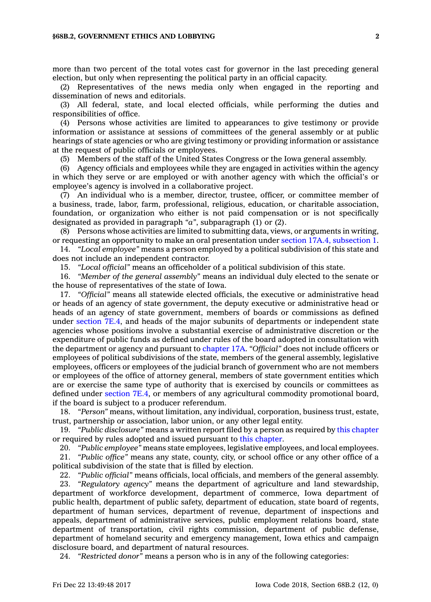more than two percent of the total votes cast for governor in the last preceding general election, but only when representing the political party in an official capacity.

(2) Representatives of the news media only when engaged in the reporting and dissemination of news and editorials.

(3) All federal, state, and local elected officials, while performing the duties and responsibilities of office.

(4) Persons whose activities are limited to appearances to give testimony or provide information or assistance at sessions of committees of the general assembly or at public hearings of state agencies or who are giving testimony or providing information or assistance at the request of public officials or employees.

(5) Members of the staff of the United States Congress or the Iowa general assembly.

(6) Agency officials and employees while they are engaged in activities within the agency in which they serve or are employed or with another agency with which the official's or employee's agency is involved in <sup>a</sup> collaborative project.

(7) An individual who is <sup>a</sup> member, director, trustee, officer, or committee member of <sup>a</sup> business, trade, labor, farm, professional, religious, education, or charitable association, foundation, or organization who either is not paid compensation or is not specifically designated as provided in paragraph *"a"*, subparagraph (1) or (2).

(8) Persons whose activities are limited to submitting data, views, or arguments in writing, or requesting an opportunity to make an oral presentation under section 17A.4, [subsection](https://www.legis.iowa.gov/docs/code/17A.4.pdf) 1.

14. *"Local employee"* means <sup>a</sup> person employed by <sup>a</sup> political subdivision of this state and does not include an independent contractor.

15. *"Local official"* means an officeholder of <sup>a</sup> political subdivision of this state.

16. *"Member of the general assembly"* means an individual duly elected to the senate or the house of representatives of the state of Iowa.

17. *"Official"* means all statewide elected officials, the executive or administrative head or heads of an agency of state government, the deputy executive or administrative head or heads of an agency of state government, members of boards or commissions as defined under [section](https://www.legis.iowa.gov/docs/code/7E.4.pdf) 7E.4, and heads of the major subunits of departments or independent state agencies whose positions involve <sup>a</sup> substantial exercise of administrative discretion or the expenditure of public funds as defined under rules of the board adopted in consultation with the department or agency and pursuant to [chapter](https://www.legis.iowa.gov/docs/code//17A.pdf) 17A. *"Official"* does not include officers or employees of political subdivisions of the state, members of the general assembly, legislative employees, officers or employees of the judicial branch of government who are not members or employees of the office of attorney general, members of state government entities which are or exercise the same type of authority that is exercised by councils or committees as defined under [section](https://www.legis.iowa.gov/docs/code/7E.4.pdf) 7E.4, or members of any agricultural commodity promotional board, if the board is subject to <sup>a</sup> producer referendum.

18. *"Person"* means, without limitation, any individual, corporation, business trust, estate, trust, partnership or association, labor union, or any other legal entity.

19. *"Public disclosure"* means <sup>a</sup> written report filed by <sup>a</sup> person as required by this [chapter](https://www.legis.iowa.gov/docs/code//68B.pdf) or required by rules adopted and issued pursuant to this [chapter](https://www.legis.iowa.gov/docs/code//68B.pdf).

20. *"Public employee"* means state employees, legislative employees, and local employees.

21. *"Public office"* means any state, county, city, or school office or any other office of <sup>a</sup> political subdivision of the state that is filled by election.

22. *"Public official"* means officials, local officials, and members of the general assembly.

23. *"Regulatory agency"* means the department of agriculture and land stewardship, department of workforce development, department of commerce, Iowa department of public health, department of public safety, department of education, state board of regents, department of human services, department of revenue, department of inspections and appeals, department of administrative services, public employment relations board, state department of transportation, civil rights commission, department of public defense, department of homeland security and emergency management, Iowa ethics and campaign disclosure board, and department of natural resources.

24. *"Restricted donor"* means <sup>a</sup> person who is in any of the following categories: